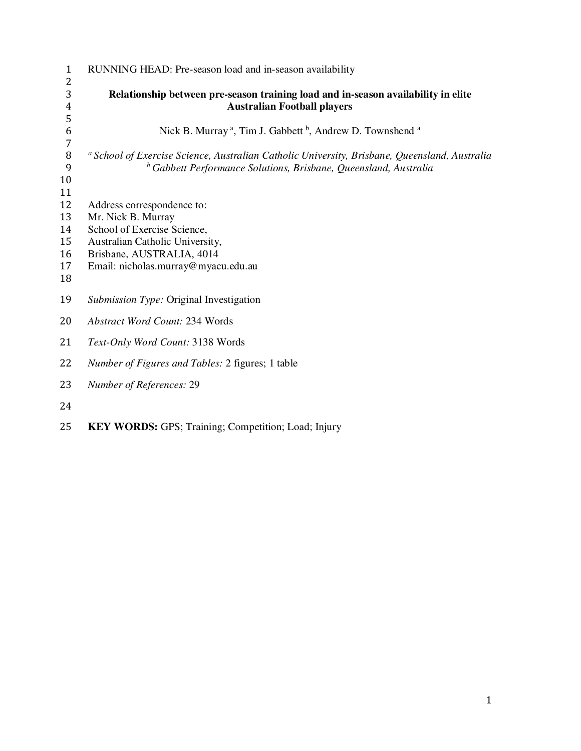| $\mathbf{1}$                                | RUNNING HEAD: Pre-season load and in-season availability                                                                                                                                |
|---------------------------------------------|-----------------------------------------------------------------------------------------------------------------------------------------------------------------------------------------|
| 2<br>3<br>$\overline{4}$<br>5               | Relationship between pre-season training load and in-season availability in elite<br><b>Australian Football players</b>                                                                 |
| 6                                           | Nick B. Murray <sup>a</sup> , Tim J. Gabbett <sup>b</sup> , Andrew D. Townshend <sup>a</sup>                                                                                            |
| $\boldsymbol{7}$<br>$\, 8$<br>9<br>10<br>11 | <sup>a</sup> School of Exercise Science, Australian Catholic University, Brisbane, Queensland, Australia<br><sup>b</sup> Gabbett Performance Solutions, Brisbane, Queensland, Australia |
| 12<br>13<br>14<br>15<br>16<br>17<br>18      | Address correspondence to:<br>Mr. Nick B. Murray<br>School of Exercise Science,<br>Australian Catholic University,<br>Brisbane, AUSTRALIA, 4014<br>Email: nicholas.murray@myacu.edu.au  |
| 19                                          | <i>Submission Type: Original Investigation</i>                                                                                                                                          |
| 20                                          | <b>Abstract Word Count: 234 Words</b>                                                                                                                                                   |
| 21                                          | Text-Only Word Count: 3138 Words                                                                                                                                                        |
| 22                                          | Number of Figures and Tables: 2 figures; 1 table                                                                                                                                        |
| 23                                          | Number of References: 29                                                                                                                                                                |
| 24                                          |                                                                                                                                                                                         |

**KEY WORDS:** GPS; Training; Competition; Load; Injury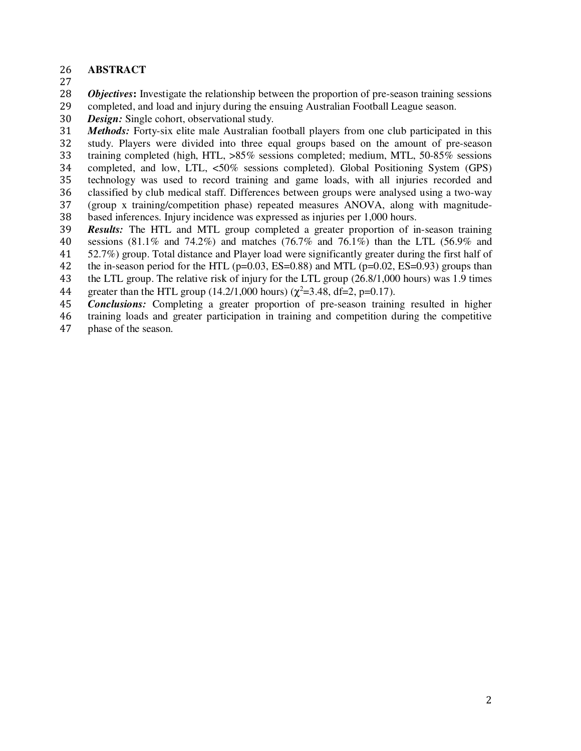- **ABSTRACT**
- 

*Objectives***:** Investigate the relationship between the proportion of pre-season training sessions

completed, and load and injury during the ensuing Australian Football League season.

*Design:* Single cohort, observational study.

*Methods:* Forty-six elite male Australian football players from one club participated in this study. Players were divided into three equal groups based on the amount of pre-season training completed (high, HTL, >85% sessions completed; medium, MTL, 50-85% sessions completed, and low, LTL, <50% sessions completed). Global Positioning System (GPS) technology was used to record training and game loads, with all injuries recorded and 36 classified by club medical staff. Differences between groups were analysed using a two-way<br>37 (group x training/competition phase) repeated measures ANOVA, along with magnitude-(group x training/competition phase) repeated measures ANOVA, along with magnitude-

based inferences. Injury incidence was expressed as injuries per 1,000 hours.

*Results:* The HTL and MTL group completed a greater proportion of in-season training sessions (81.1% and 74.2%) and matches (76.7% and 76.1%) than the LTL (56.9% and

52.7%) group. Total distance and Player load were significantly greater during the first half of

42 the in-season period for the HTL (p=0.03, ES=0.88) and MTL (p=0.02, ES=0.93) groups than

the LTL group. The relative risk of injury for the LTL group (26.8/1,000 hours) was 1.9 times

44 greater than the HTL group (14.2/1,000 hours) ( $\chi^2$ =3.48, df=2, p=0.17).

*Conclusions:* Completing a greater proportion of pre-season training resulted in higher

training loads and greater participation in training and competition during the competitive

phase of the season.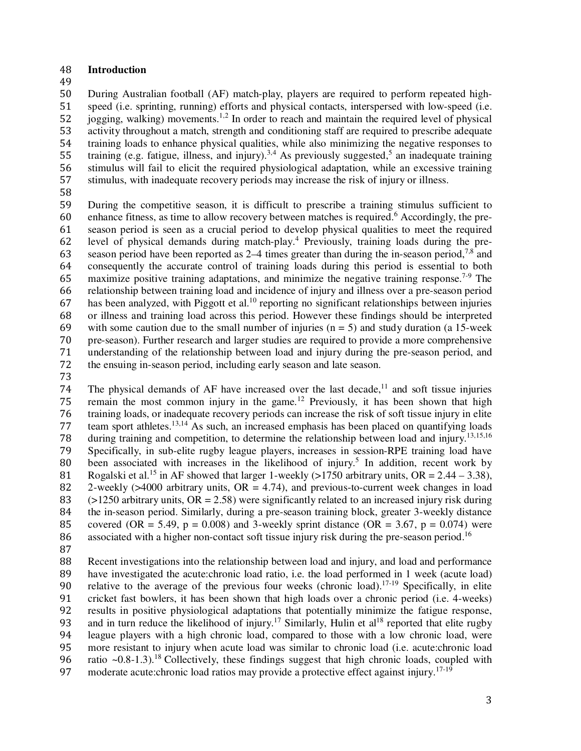# 48 **Introduction**

49

During Australian football (AF) match-play, players are required to perform repeated high-speed (i.e. sprinting, running) efforts and physical contacts, interspersed with low-speed (i.e. jogging, walking) movements.<sup>1,2</sup> In order to reach and maintain the required level of physical activity throughout a match, strength and conditioning staff are required to prescribe adequate training loads to enhance physical qualities, while also minimizing the negative responses to 55 training (e.g. fatigue, illness, and injury).<sup>3,4</sup> As previously suggested,<sup>5</sup> an inadequate training stimulus will fail to elicit the required physiological adaptation, while an excessive training stimulus, with inadequate recovery periods may increase the risk of injury or illness.

58

59 During the competitive season, it is difficult to prescribe a training stimulus sufficient to 60 enhance fitness, as time to allow recovery between matches is required.<sup>6</sup> Accordingly, the pre-61 season period is seen as a crucial period to develop physical qualities to meet the required 62 level of physical demands during match-play.<sup>4</sup> Previously, training loads during the pre-63 season period have been reported as  $2-4$  times greater than during the in-season period,<sup>7,8</sup> and 64 consequently the accurate control of training loads during this period is essential to both 65 maximize positive training adaptations, and minimize the negative training response.<sup>7-9</sup> The 66 relationship between training load and incidence of injury and illness over a pre-season period 67 has been analyzed, with Piggott et al.<sup>10</sup> reporting no significant relationships between injuries 68 or illness and training load across this period. However these findings should be interpreted 69 with some caution due to the small number of injuries  $(n = 5)$  and study duration (a 15-week 70 pre-season). Further research and larger studies are required to provide a more comprehensive 70 pre-season). Further research and larger studies are required to provide a more comprehensive 71 understanding of the relationship between load and injury during the pre-season period, and 72 the ensuing in-season period, including early season and late season.

73

The physical demands of AF have increased over the last decade,<sup>11</sup> and soft tissue injuries 75 remain the most common injury in the game.<sup>12</sup> Previously, it has been shown that high 76 training loads, or inadequate recovery periods can increase the risk of soft tissue injury in elite 77 team sport athletes.<sup>13,14</sup> As such, an increased emphasis has been placed on quantifying loads during training and competition, to determine the relationship between load and injury.<sup>13,15,16</sup><br>79 Specifically, in sub-elite rugby league players, increases in session-RPE training load have 79 Specifically, in sub-elite rugby league players, increases in session-RPE training load have 80 been associated with increases in the likelihood of injury.<sup>5</sup> In addition, recent work by 81 Rogalski et al.<sup>15</sup> in AF showed that larger 1-weekly (>1750 arbitrary units, OR = 2.44 – 3.38), 82 2-weekly  $(>4000$  arbitrary units,  $OR = 4.74$ ), and previous-to-current week changes in load 83 ( $>1250$  arbitrary units, OR = 2.58) were significantly related to an increased injury risk during 84 the in-season period. Similarly, during a pre-season training block, greater 3-weekly distance 85 covered (OR = 5.49, p = 0.008) and 3-weekly sprint distance (OR = 3.67, p = 0.074) were 86 associated with a higher non-contact soft tissue injury risk during the pre-season period.<sup>16</sup>

87

88 Recent investigations into the relationship between load and injury, and load and performance 89 have investigated the acute:chronic load ratio, i.e. the load performed in 1 week (acute load) 90 relative to the average of the previous four weeks (chronic load).<sup>17-19</sup> Specifically, in elite 91 cricket fast bowlers, it has been shown that high loads over a chronic period (i.e. 4-weeks)<br>92 results in positive physiological adaptations that potentially minimize the fatigue response, results in positive physiological adaptations that potentially minimize the fatigue response, 93 and in turn reduce the likelihood of injury.<sup>17</sup> Similarly, Hulin et al<sup>18</sup> reported that elite rugby 94 league players with a high chronic load, compared to those with a low chronic load, were 95 more resistant to injury when acute load was similar to chronic load (i.e. acute:chronic load 96 ratio  $\approx 0.8-1.3$ .<sup>18</sup> Collectively, these findings suggest that high chronic loads, coupled with 97 moderate acute:chronic load ratios may provide a protective effect against injury.<sup>17-19</sup>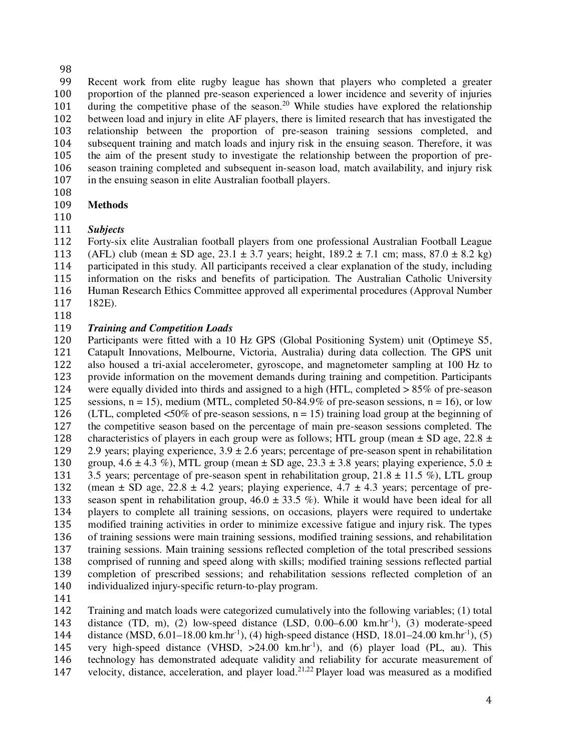Recent work from elite rugby league has shown that players who completed a greater proportion of the planned pre-season experienced a lower incidence and severity of injuries 101 during the competitive phase of the season.<sup>20</sup> While studies have explored the relationship between load and injury in elite AF players, there is limited research that has investigated the relationship between the proportion of pre-season training sessions completed, and subsequent training and match loads and injury risk in the ensuing season. Therefore, it was the aim of the present study to investigate the relationship between the proportion of pre-season training completed and subsequent in-season load, match availability, and injury risk in the ensuing season in elite Australian football players.

- 
- **Methods**

# *Subjects*

Forty-six elite Australian football players from one professional Australian Football League 113 (AFL) club (mean  $\pm$  SD age, 23.1  $\pm$  3.7 years; height, 189.2  $\pm$  7.1 cm; mass, 87.0  $\pm$  8.2 kg) participated in this study. All participants received a clear explanation of the study, including information on the risks and benefits of participation. The Australian Catholic University Human Research Ethics Committee approved all experimental procedures (Approval Number 182E).

# *Training and Competition Loads*

Participants were fitted with a 10 Hz GPS (Global Positioning System) unit (Optimeye S5, Catapult Innovations, Melbourne, Victoria, Australia) during data collection. The GPS unit also housed a tri-axial accelerometer, gyroscope, and magnetometer sampling at 100 Hz to provide information on the movement demands during training and competition. Participants were equally divided into thirds and assigned to a high (HTL, completed > 85% of pre-season 125 sessions,  $n = 15$ ), medium (MTL, completed 50-84.9% of pre-season sessions,  $n = 16$ ), or low 126 (LTL, completed  $\langle 50\% \rangle$  of pre-season sessions, n = 15) training load group at the beginning of the competitive season based on the percentage of main pre-season sessions completed. The 128 characteristics of players in each group were as follows; HTL group (mean  $\pm$  SD age, 22.8  $\pm$  129 2.9 years; playing experience, 3.9  $\pm$  2.6 years; percentage of pre-season spent in rehabilitation 2.9 years; playing experience,  $3.9 \pm 2.6$  years; percentage of pre-season spent in rehabilitation 130 group,  $4.6 \pm 4.3$  %), MTL group (mean  $\pm$  SD age,  $23.3 \pm 3.8$  years; playing experience,  $5.0 \pm$ 131 3.5 years; percentage of pre-season spent in rehabilitation group,  $21.8 \pm 11.5$  %), LTL group 132 (mean  $\pm$  SD age, 22.8  $\pm$  4.2 years; playing experience, 4.7  $\pm$  4.3 years; percentage of pre-133 season spent in rehabilitation group,  $46.0 \pm 33.5$  %). While it would have been ideal for all players to complete all training sessions, on occasions, players were required to undertake modified training activities in order to minimize excessive fatigue and injury risk. The types of training sessions were main training sessions, modified training sessions, and rehabilitation training sessions. Main training sessions reflected completion of the total prescribed sessions comprised of running and speed along with skills; modified training sessions reflected partial completion of prescribed sessions; and rehabilitation sessions reflected completion of an individualized injury-specific return-to-play program.

Training and match loads were categorized cumulatively into the following variables; (1) total 143 distance (TD, m), (2) low-speed distance (LSD,  $0.00-6.00 \text{ km} \cdot \text{hr}^{-1}$ ), (3) moderate-speed 144 distance (MSD,  $6.01-18.00 \text{ km} \cdot \text{hr}^{-1}$ ), (4) high-speed distance (HSD,  $18.01-24.00 \text{ km} \cdot \text{hr}^{-1}$ ), (5) 145 very high-speed distance (VHSD,  $>24.00$  km.hr<sup>-1</sup>), and (6) player load (PL, au). This technology has demonstrated adequate validity and reliability for accurate measurement of 147 velocity, distance, acceleration, and player load.<sup>21,22</sup> Player load was measured as a modified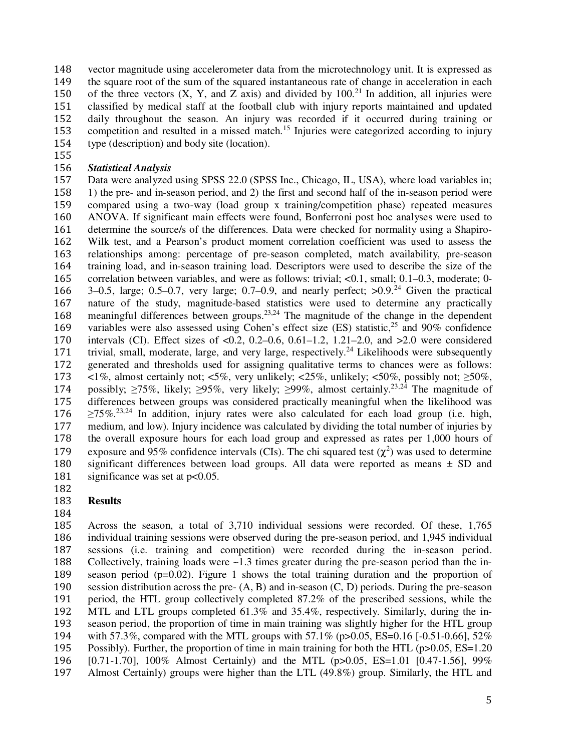vector magnitude using accelerometer data from the microtechnology unit. It is expressed as the square root of the sum of the squared instantaneous rate of change in acceleration in each 150 of the three vectors  $(X, Y, and Z axis)$  and divided by 100.<sup>21</sup> In addition, all injuries were classified by medical staff at the football club with injury reports maintained and updated daily throughout the season. An injury was recorded if it occurred during training or 153 competition and resulted in a missed match.<sup>15</sup> Injuries were categorized according to injury type (description) and body site (location).

# *Statistical Analysis*

Data were analyzed using SPSS 22.0 (SPSS Inc., Chicago, IL, USA), where load variables in; 158 1) the pre- and in-season period, and 2) the first and second half of the in-season period were<br>159 compared using a two-way (load group x training/competition phase) repeated measures compared using a two-way (load group x training/competition phase) repeated measures ANOVA. If significant main effects were found, Bonferroni post hoc analyses were used to determine the source/s of the differences. Data were checked for normality using a Shapiro-Wilk test, and a Pearson's product moment correlation coefficient was used to assess the relationships among: percentage of pre-season completed, match availability, pre-season training load, and in-season training load. Descriptors were used to describe the size of the correlation between variables, and were as follows: trivial; <0.1, small; 0.1–0.3, moderate; 0- 166  $\,3-0.5$ , large; 0.5-0.7, very large; 0.7-0.9, and nearly perfect;  $>0.9$ .<sup>24</sup> Given the practical nature of the study, magnitude-based statistics were used to determine any practically 168 meaningful differences between groups.<sup>23,24</sup> The magnitude of the change in the dependent 169 variables were also assessed using Cohen's effect size (ES) statistic,<sup>25</sup> and 90% confidence intervals (CI). Effect sizes of  $\langle 0.2, 0.2{\text -}0.6, 0.61{\text -}1.2, 1.21{\text -}2.0, \text{ and } >2.0$  were considered intervals (CI). Effect sizes of  $< 0.2$ , 0.2–0.6, 0.61–1.2, 1.21–2.0, and  $> 2.0$  were considered 171 trivial, small, moderate, large, and very large, respectively.<sup>24</sup> Likelihoods were subsequently generated and thresholds used for assigning qualitative terms to chances were as follows: 173 <1%, almost certainly not; <5%, very unlikely; <25%, unlikely; <50%, possibly not;  $\geq 50\%$ , 174 possibly;  $\geq$  15%, likely;  $\geq$ 95%, very likely;  $\geq$ 99%, almost certainly.<sup>23,24</sup> The magnitude of differences between groups was considered practically meaningful when the likelihood was  $176 \ge 75\%$ .<sup>23,24</sup> In addition, injury rates were also calculated for each load group (i.e. high, medium, and low). Injury incidence was calculated by dividing the total number of injuries by the overall exposure hours for each load group and expressed as rates per 1,000 hours of 179 exposure and 95% confidence intervals (CIs). The chi squared test  $(\chi^2)$  was used to determine significant differences between load groups. All data were reported as means ± SD and 181 significance was set at p<0.05.

#### **Results**

#### 

Across the season, a total of 3,710 individual sessions were recorded. Of these, 1,765 individual training sessions were observed during the pre-season period, and 1,945 individual sessions (i.e. training and competition) were recorded during the in-season period. Collectively, training loads were ~1.3 times greater during the pre-season period than the in-season period (p=0.02). Figure 1 shows the total training duration and the proportion of session distribution across the pre- (A, B) and in-season (C, D) periods. During the pre-season period, the HTL group collectively completed 87.2% of the prescribed sessions, while the MTL and LTL groups completed 61.3% and 35.4%, respectively. Similarly, during the in-season period, the proportion of time in main training was slightly higher for the HTL group 194 with 57.3%, compared with the MTL groups with 57.1% (p $>0.05$ , ES=0.16 [-0.51-0.66], 52%<br>195 Possibly). Further, the proportion of time in main training for both the HTL (p $>0.05$ , ES=1.20 Possibly). Further, the proportion of time in main training for both the HTL ( $p>0.05$ ,  $ES=1.20$ ) [0.71-1.70], 100% Almost Certainly) and the MTL (p>0.05, ES=1.01 [0.47-1.56], 99% Almost Certainly) groups were higher than the LTL (49.8%) group. Similarly, the HTL and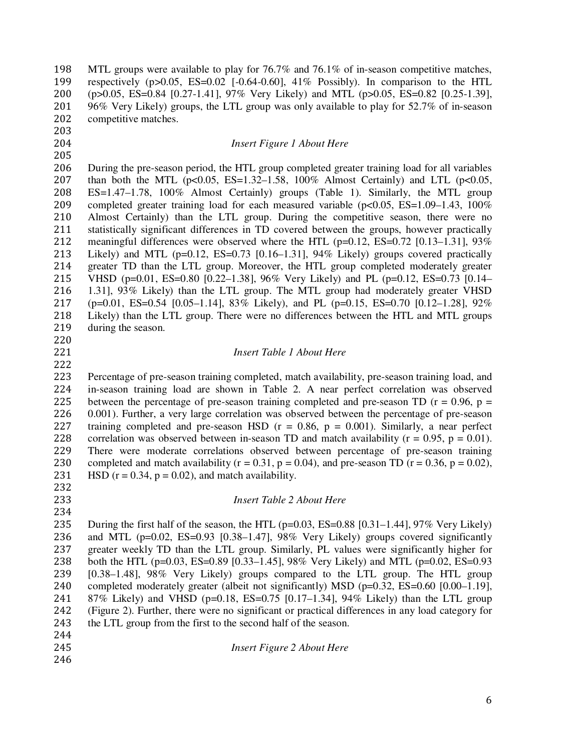MTL groups were available to play for 76.7% and 76.1% of in-season competitive matches, respectively (p>0.05, ES=0.02 [-0.64-0.60], 41% Possibly). In comparison to the HTL (p>0.05, ES=0.84 [0.27-1.41], 97% Very Likely) and MTL (p>0.05, ES=0.82 [0.25-1.39], 96% Very Likely) groups, the LTL group was only available to play for 52.7% of in-season competitive matches. 

#### *Insert Figure 1 About Here*

During the pre-season period, the HTL group completed greater training load for all variables than both the MTL (p<0.05, ES=1.32–1.58, 100% Almost Certainly) and LTL (p<0.05, ES=1.47–1.78, 100% Almost Certainly) groups (Table 1). Similarly, the MTL group completed greater training load for each measured variable (p<0.05, ES=1.09–1.43, 100% Almost Certainly) than the LTL group. During the competitive season, there were no statistically significant differences in TD covered between the groups, however practically 212 meaningful differences were observed where the HTL ( $p=0.12$ , ES=0.72 [0.13–1.31], 93% Likely) and MTL (p=0.12, ES=0.73 [0.16–1.31], 94% Likely) groups covered practically greater TD than the LTL group. Moreover, the HTL group completed moderately greater VHSD (p=0.01, ES=0.80 [0.22–1.38], 96% Very Likely) and PL (p=0.12, ES=0.73 [0.14– 1.31], 93% Likely) than the LTL group. The MTL group had moderately greater VHSD (p=0.01, ES=0.54 [0.05–1.14], 83% Likely), and PL (p=0.15, ES=0.70 [0.12–1.28], 92% Likely) than the LTL group. There were no differences between the HTL and MTL groups during the season.

#### *Insert Table 1 About Here*

Percentage of pre-season training completed, match availability, pre-season training load, and in-season training load are shown in Table 2. A near perfect correlation was observed 225 between the percentage of pre-season training completed and pre-season TD ( $r = 0.96$ ,  $p =$ 0.001). Further, a very large correlation was observed between the percentage of pre-season 227 training completed and pre-season HSD ( $r = 0.86$ ,  $p = 0.001$ ). Similarly, a near perfect 228 correlation was observed between in-season TD and match availability ( $r = 0.95$ ,  $p = 0.01$ ). There were moderate correlations observed between percentage of pre-season training 230 completed and match availability ( $r = 0.31$ ,  $p = 0.04$ ), and pre-season TD ( $r = 0.36$ ,  $p = 0.02$ ), 231 HSD  $(r = 0.34, p = 0.02)$ , and match availability. 

#### *Insert Table 2 About Here*

235 During the first half of the season, the HTL ( $p=0.03$ , ES=0.88 [0.31–1.44], 97% Very Likely) and MTL (p=0.02, ES=0.93 [0.38–1.47], 98% Very Likely) groups covered significantly greater weekly TD than the LTL group. Similarly, PL values were significantly higher for both the HTL (p=0.03, ES=0.89 [0.33–1.45], 98% Very Likely) and MTL (p=0.02, ES=0.93 [0.38–1.48], 98% Very Likely) groups compared to the LTL group. The HTL group 240 completed moderately greater (albeit not significantly) MSD (p=0.32, ES=0.60 [0.00–1.19], 87% Likely) and VHSD (p=0.18, ES=0.75 [0.17–1.34], 94% Likely) than the LTL group (Figure 2). Further, there were no significant or practical differences in any load category for the LTL group from the first to the second half of the season.

- 
- *Insert Figure 2 About Here*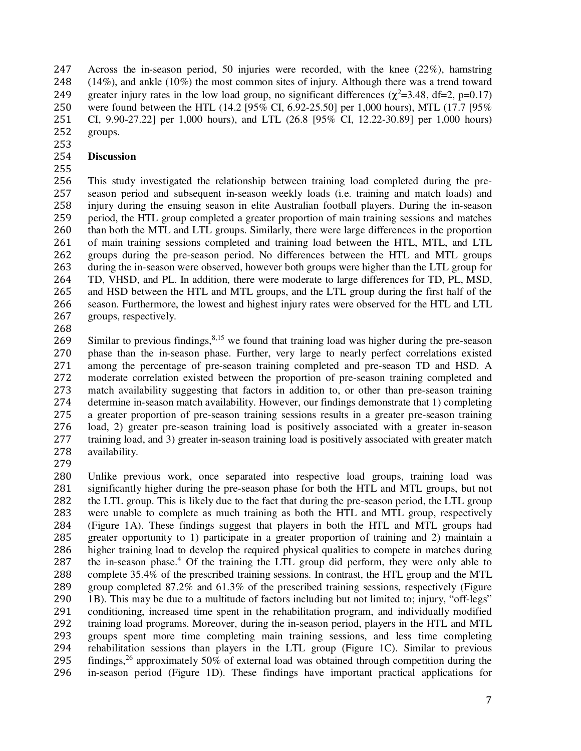Across the in-season period, 50 injuries were recorded, with the knee (22%), hamstring (14%), and ankle (10%) the most common sites of injury. Although there was a trend toward 249 greater injury rates in the low load group, no significant differences  $(\chi^2=3.48, df=2, p=0.17)$ were found between the HTL (14.2 [95% CI, 6.92-25.50] per 1,000 hours), MTL (17.7 [95% CI, 9.90-27.22] per 1,000 hours), and LTL (26.8 [95% CI, 12.22-30.89] per 1,000 hours) groups.

# **Discussion**

This study investigated the relationship between training load completed during the pre-season period and subsequent in-season weekly loads (i.e. training and match loads) and injury during the ensuing season in elite Australian football players. During the in-season period, the HTL group completed a greater proportion of main training sessions and matches than both the MTL and LTL groups. Similarly, there were large differences in the proportion of main training sessions completed and training load between the HTL, MTL, and LTL 262 groups during the pre-season period. No differences between the HTL and MTL groups during the in-season were observed, however both groups were higher than the LTL group for during the in-season were observed, however both groups were higher than the LTL group for TD, VHSD, and PL. In addition, there were moderate to large differences for TD, PL, MSD, and HSD between the HTL and MTL groups, and the LTL group during the first half of the season. Furthermore, the lowest and highest injury rates were observed for the HTL and LTL groups, respectively.

 Similar to previous findings,  $8,15$  we found that training load was higher during the pre-season 270 phase than the in-season phase. Further, very large to nearly perfect correlations existed among the percentage of pre-season training completed and pre-season TD and HSD. A among the percentage of pre-season training completed and pre-season TD and HSD. A moderate correlation existed between the proportion of pre-season training completed and match availability suggesting that factors in addition to, or other than pre-season training determine in-season match availability. However, our findings demonstrate that 1) completing a greater proportion of pre-season training sessions results in a greater pre-season training load, 2) greater pre-season training load is positively associated with a greater in-season training load, and 3) greater in-season training load is positively associated with greater match availability.

Unlike previous work, once separated into respective load groups, training load was 281 significantly higher during the pre-season phase for both the HTL and MTL groups, but not 282 the LTL group. This is likely due to the fact that during the pre-season period, the LTL group 282 the LTL group. This is likely due to the fact that during the pre-season period, the LTL group<br>283 were unable to complete as much training as both the HTL and MTL group, respectively were unable to complete as much training as both the HTL and MTL group, respectively (Figure 1A). These findings suggest that players in both the HTL and MTL groups had greater opportunity to 1) participate in a greater proportion of training and 2) maintain a higher training load to develop the required physical qualities to compete in matches during 287 the in-season phase.<sup>4</sup> Of the training the LTL group did perform, they were only able to complete 35.4% of the prescribed training sessions. In contrast, the HTL group and the MTL group completed 87.2% and 61.3% of the prescribed training sessions, respectively (Figure 1B). This may be due to a multitude of factors including but not limited to; injury, "off-legs" conditioning, increased time spent in the rehabilitation program, and individually modified training load programs. Moreover, during the in-season period, players in the HTL and MTL 293 groups spent more time completing main training sessions, and less time completing<br>294 rehabilitation sessions than players in the LTL group (Figure 1C). Similar to previous 294 rehabilitation sessions than players in the LTL group (Figure 1C). Similar to previous findings,<sup>26</sup> approximately 50% of external load was obtained through competition during the findings, approximately 50% of external load was obtained through competition during the in-season period (Figure 1D). These findings have important practical applications for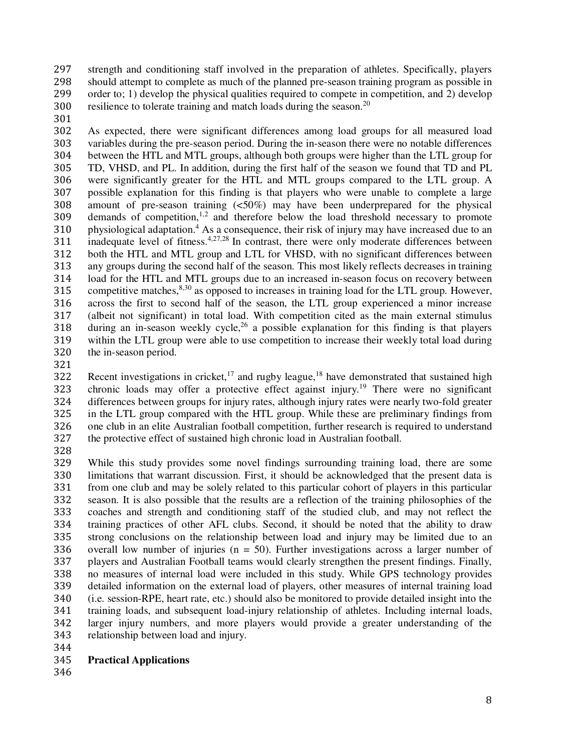strength and conditioning staff involved in the preparation of athletes. Specifically, players 298 should attempt to complete as much of the planned pre-season training program as possible in<br>299 order to: 1) develop the physical qualities required to compete in competition, and 2) develop order to; 1) develop the physical qualities required to compete in competition, and 2) develop 300 resilience to tolerate training and match loads during the season.<sup>20</sup>

As expected, there were significant differences among load groups for all measured load variables during the pre-season period. During the in-season there were no notable differences between the HTL and MTL groups, although both groups were higher than the LTL group for TD, VHSD, and PL. In addition, during the first half of the season we found that TD and PL were significantly greater for the HTL and MTL groups compared to the LTL group. A possible explanation for this finding is that players who were unable to complete a large amount of pre-season training (<50%) may have been underprepared for the physical demands of competition,<sup>1,2</sup> and therefore below the load threshold necessary to promote 310 physiological adaptation.<sup>4</sup> As a consequence, their risk of injury may have increased due to an inadequate level of fitness.<sup>4,27,28</sup> In contrast, there were only moderate differences between both the HTL and MTL group and LTL for VHSD, with no significant differences between any groups during the second half of the season. This most likely reflects decreases in training load for the HTL and MTL groups due to an increased in-season focus on recovery between 315 competitive matches,  $8,30$  as opposed to increases in training load for the LTL group. However, across the first to second half of the season, the LTL group experienced a minor increase (albeit not significant) in total load. With competition cited as the main external stimulus 318 during an in-season weekly cycle,<sup>26</sup> a possible explanation for this finding is that players within the LTL group were able to use competition to increase their weekly total load during the in-season period.

Recent investigations in cricket,<sup>17</sup> and rugby league,<sup>18</sup> have demonstrated that sustained high 323 chronic loads may offer a protective effect against injury.<sup>19</sup> There were no significant differences between groups for injury rates, although injury rates were nearly two-fold greater in the LTL group compared with the HTL group. While these are preliminary findings from one club in an elite Australian football competition, further research is required to understand the protective effect of sustained high chronic load in Australian football.

While this study provides some novel findings surrounding training load, there are some limitations that warrant discussion. First, it should be acknowledged that the present data is from one club and may be solely related to this particular cohort of players in this particular season. It is also possible that the results are a reflection of the training philosophies of the coaches and strength and conditioning staff of the studied club, and may not reflect the training practices of other AFL clubs. Second, it should be noted that the ability to draw strong conclusions on the relationship between load and injury may be limited due to an overall low number of injuries (n = 50). Further investigations across a larger number of players and Australian Football teams would clearly strengthen the present findings. Finally, no measures of internal load were included in this study. While GPS technology provides detailed information on the external load of players, other measures of internal training load (i.e. session-RPE, heart rate, etc.) should also be monitored to provide detailed insight into the training loads, and subsequent load-injury relationship of athletes. Including internal loads, larger injury numbers, and more players would provide a greater understanding of the relationship between load and injury.

- 
- **Practical Applications**
-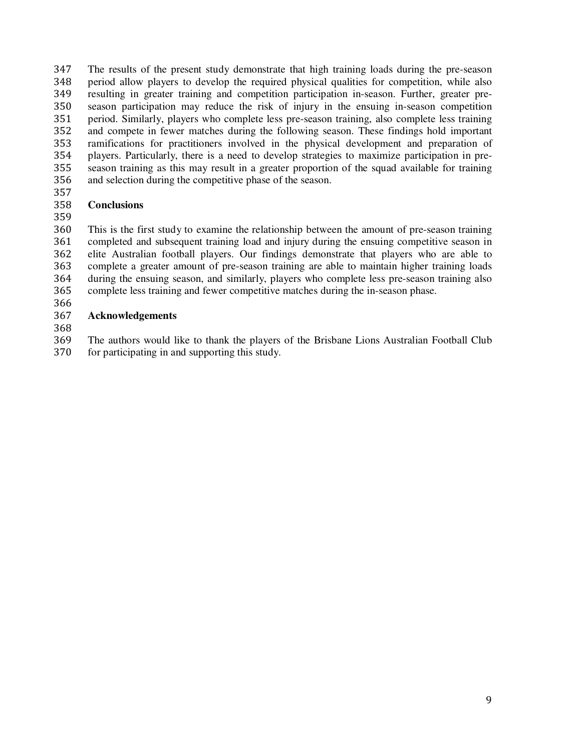The results of the present study demonstrate that high training loads during the pre-season period allow players to develop the required physical qualities for competition, while also resulting in greater training and competition participation in-season. Further, greater pre-season participation may reduce the risk of injury in the ensuing in-season competition period. Similarly, players who complete less pre-season training, also complete less training and compete in fewer matches during the following season. These findings hold important ramifications for practitioners involved in the physical development and preparation of players. Particularly, there is a need to develop strategies to maximize participation in pre-season training as this may result in a greater proportion of the squad available for training and selection during the competitive phase of the season.

#### **Conclusions**

This is the first study to examine the relationship between the amount of pre-season training completed and subsequent training load and injury during the ensuing competitive season in elite Australian football players. Our findings demonstrate that players who are able to complete a greater amount of pre-season training are able to maintain higher training loads during the ensuing season, and similarly, players who complete less pre-season training also complete less training and fewer competitive matches during the in-season phase.

# **Acknowledgements**

The authors would like to thank the players of the Brisbane Lions Australian Football Club for participating in and supporting this study.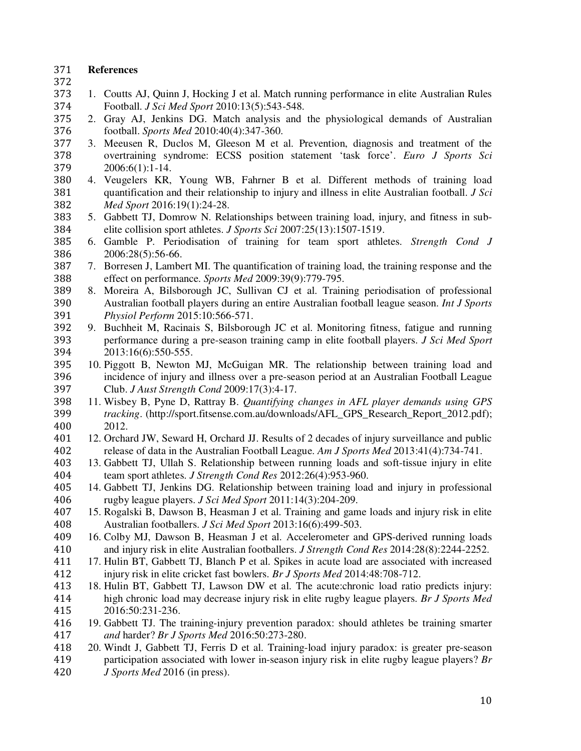## **References**

- 
- 1. Coutts AJ, Quinn J, Hocking J et al. Match running performance in elite Australian Rules Football. *J Sci Med Sport* 2010:13(5):543-548.
- 2. Gray AJ, Jenkins DG. Match analysis and the physiological demands of Australian football. *Sports Med* 2010:40(4):347-360.
- 3. Meeusen R, Duclos M, Gleeson M et al. Prevention, diagnosis and treatment of the overtraining syndrome: ECSS position statement 'task force'. *Euro J Sports Sci* 379 2006:6(1):1-14.<br>380 4. Veugelers KR.
- 4. Veugelers KR, Young WB, Fahrner B et al. Different methods of training load quantification and their relationship to injury and illness in elite Australian football. *J Sci Med Sport* 2016:19(1):24-28.
- 5. Gabbett TJ, Domrow N. Relationships between training load, injury, and fitness in sub-elite collision sport athletes. *J Sports Sci* 2007:25(13):1507-1519.
- 6. Gamble P. Periodisation of training for team sport athletes. *Strength Cond J* 2006:28(5):56-66.
- 7. Borresen J, Lambert MI. The quantification of training load, the training response and the effect on performance. *Sports Med* 2009:39(9):779-795.
- 8. Moreira A, Bilsborough JC, Sullivan CJ et al. Training periodisation of professional Australian football players during an entire Australian football league season. *Int J Sports Physiol Perform* 2015:10:566-571.
- 392 9. Buchheit M, Racinais S, Bilsborough JC et al. Monitoring fitness, fatigue and running performance during a pre-season training camp in elite football players. *J Sci Med Sport* performance during a pre-season training camp in elite football players. *J Sci Med Sport* 2013:16(6):550-555.
- 10. Piggott B, Newton MJ, McGuigan MR. The relationship between training load and incidence of injury and illness over a pre-season period at an Australian Football League Club. *J Aust Strength Cond* 2009:17(3):4-17.
- 11. Wisbey B, Pyne D, Rattray B. *Quantifying changes in AFL player demands using GPS tracking*. (http://sport.fitsense.com.au/downloads/AFL\_GPS\_Research\_Report\_2012.pdf); 2012.
- 12. Orchard JW, Seward H, Orchard JJ. Results of 2 decades of injury surveillance and public release of data in the Australian Football League. *Am J Sports Med* 2013:41(4):734-741.
- 13. Gabbett TJ, Ullah S. Relationship between running loads and soft-tissue injury in elite team sport athletes. *J Strength Cond Res* 2012:26(4):953-960.
- 14. Gabbett TJ, Jenkins DG. Relationship between training load and injury in professional rugby league players. *J Sci Med Sport* 2011:14(3):204-209.
- 15. Rogalski B, Dawson B, Heasman J et al. Training and game loads and injury risk in elite Australian footballers. *J Sci Med Sport* 2013:16(6):499-503.
- 16. Colby MJ, Dawson B, Heasman J et al. Accelerometer and GPS-derived running loads and injury risk in elite Australian footballers. *J Strength Cond Res* 2014:28(8):2244-2252.
- 17. Hulin BT, Gabbett TJ, Blanch P et al. Spikes in acute load are associated with increased injury risk in elite cricket fast bowlers. *Br J Sports Med* 2014:48:708-712.
- 18. Hulin BT, Gabbett TJ, Lawson DW et al. The acute:chronic load ratio predicts injury: high chronic load may decrease injury risk in elite rugby league players. *Br J Sports Med* 2016:50:231-236.
- 19. Gabbett TJ. The training-injury prevention paradox: should athletes be training smarter *and* harder? *Br J Sports Med* 2016:50:273-280.
- 20. Windt J, Gabbett TJ, Ferris D et al. Training-load injury paradox: is greater pre-season participation associated with lower in-season injury risk in elite rugby league players? *Br J Sports Med* 2016 (in press).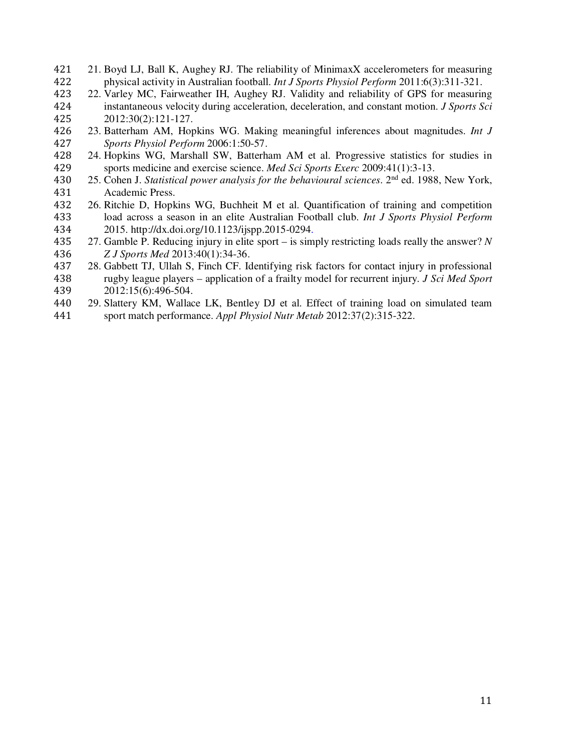- 21. Boyd LJ, Ball K, Aughey RJ. The reliability of MinimaxX accelerometers for measuring physical activity in Australian football. *Int J Sports Physiol Perform* 2011:6(3):311-321.
- 22. Varley MC, Fairweather IH, Aughey RJ. Validity and reliability of GPS for measuring instantaneous velocity during acceleration, deceleration, and constant motion. *J Sports Sci* 425 2012:30(2):121-127.<br>426 23. Batterham AM, Hop
- 23. Batterham AM, Hopkins WG. Making meaningful inferences about magnitudes. *Int J Sports Physiol Perform* 2006:1:50-57.
- 428 24. Hopkins WG, Marshall SW, Batterham AM et al. Progressive statistics for studies in sports medicine and exercise science. *Med Sci Sports Exerc* 2009:41(1):3-13. 429 sports medicine and exercise science. *Med Sci Sports Exerc* 2009:41(1):3-13.<br>430 25. Cohen J. *Statistical power analysis for the behavioural sciences*. 2<sup>nd</sup> ed. 1988
- 25. Cohen J. *Statistical power analysis for the behavioural sciences*. 2<sup>nd</sup> ed. 1988, New York, 431 Academic Press.<br>432 26. Ritchie D. Hopk
- 26. Ritchie D, Hopkins WG, Buchheit M et al. Quantification of training and competition load across a season in an elite Australian Football club. *Int J Sports Physiol Perform*  2015. http://dx.doi.org/10.1123/ijspp.2015-0294.
- 27. Gamble P. Reducing injury in elite sport is simply restricting loads really the answer? *N Z J Sports Med* 2013:40(1):34-36.
- 28. Gabbett TJ, Ullah S, Finch CF. Identifying risk factors for contact injury in professional rugby league players – application of a frailty model for recurrent injury. *J Sci Med Sport* 2012:15(6):496-504.
- 29. Slattery KM, Wallace LK, Bentley DJ et al. Effect of training load on simulated team sport match performance. *Appl Physiol Nutr Metab* 2012:37(2):315-322.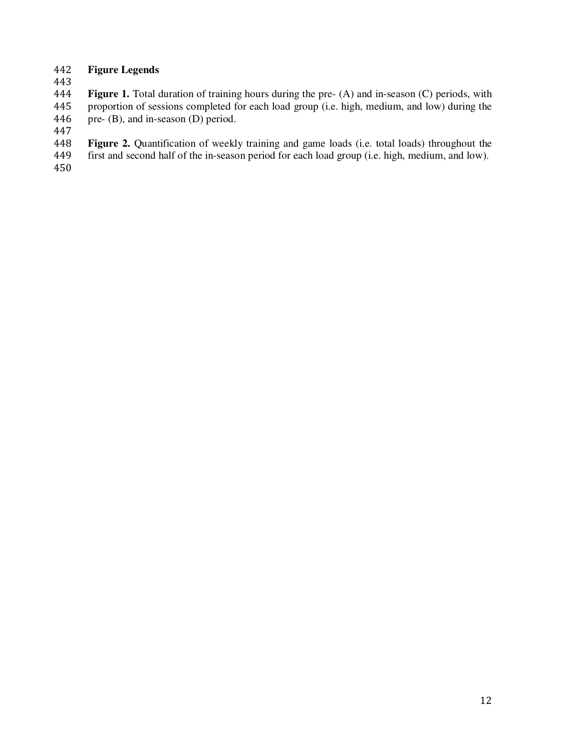# **Figure Legends**

**Figure 1.** Total duration of training hours during the pre- (A) and in-season (C) periods, with proportion of sessions completed for each load group (i.e. high, medium, and low) during the 446 pre- (B), and in-season (D) period.

- **448 Figure 2.** Quantification of weekly training and game loads (i.e. total loads) throughout the first and second half of the in-season period for each load group (i.e. high, medium, and low).
- first and second half of the in-season period for each load group (i.e. high, medium, and low).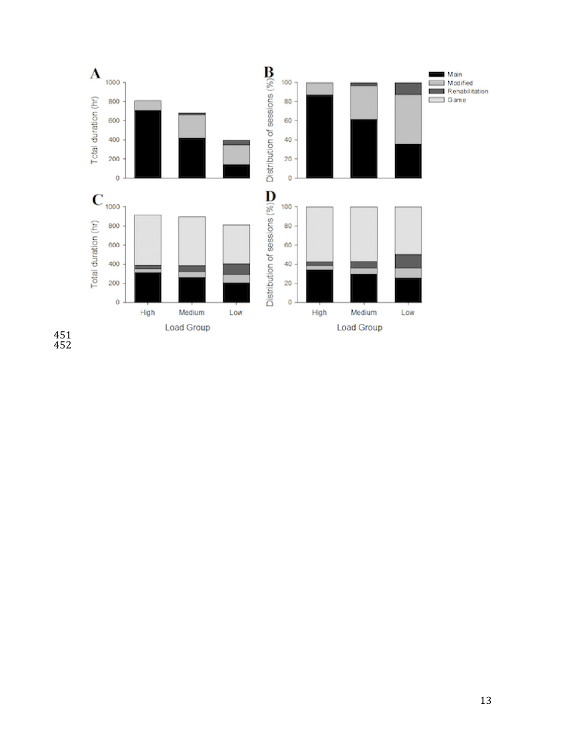

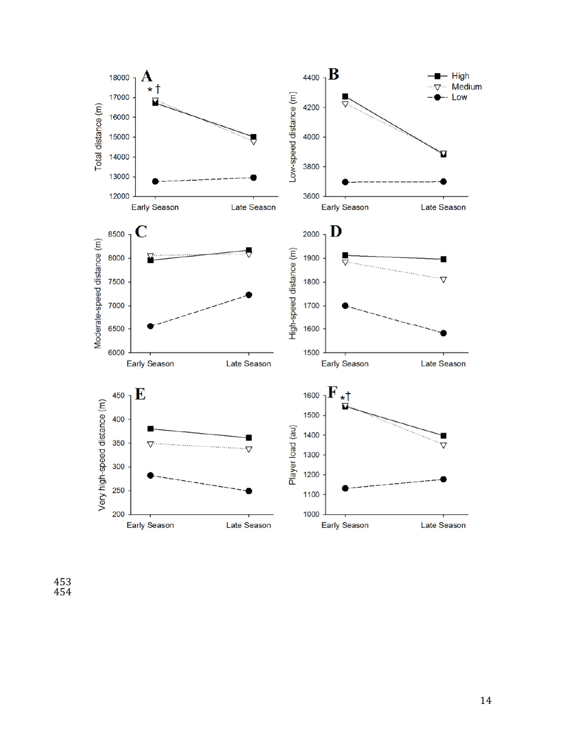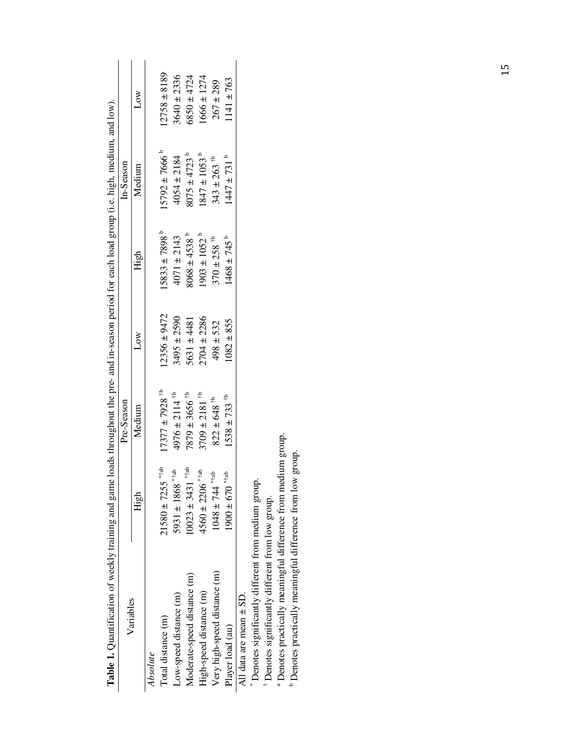| Tapic T. Administration of Meekly training and game based in present in the pre- and the pre- and participate to the control of the meeting and structure. |                                  |                                               |                  |                              |                              |                  |
|------------------------------------------------------------------------------------------------------------------------------------------------------------|----------------------------------|-----------------------------------------------|------------------|------------------------------|------------------------------|------------------|
| Variables                                                                                                                                                  |                                  | Pre-Season                                    |                  |                              | In-Season                    |                  |
|                                                                                                                                                            | High                             | Medium                                        | Δow              | High                         | Medium                       | Low              |
| Absolute                                                                                                                                                   |                                  |                                               |                  |                              |                              |                  |
| Total distance (m)                                                                                                                                         | $a_{t}$<br>$21580 \pm 7255$      | $17377 \pm 7928$ <sup>tb</sup>                | $12356 \pm 9472$ | $.5833 \pm 7898^{\circ}$     | $15792 \pm 7666^b$           | $12758 \pm 8189$ |
| Low-speed distance (m)                                                                                                                                     | $4*ab$<br>$5931 \pm 1868$        | 4976 ± 2114 <sup><math>\uparrow</math>b</sup> | $3495 \pm 2590$  | $4071 \pm 2143$              | $4054 \pm 2184$              | $3640 \pm 2336$  |
| Moderate-speed distance (m)                                                                                                                                | $a_{t}^*$<br>$10023 \pm 3431$    | $7879 \pm 3656$ <sup>+b</sup>                 | $5631 \pm 4481$  | $8068 \pm 4538$ <sup>b</sup> | $8075 \pm 4723$ <sup>b</sup> | $6850 \pm 4724$  |
| High-speed distance (m)                                                                                                                                    | $4560 \pm 2206$ **ab             | $3709 \pm 2181$ <sup>#b</sup>                 | $2704 \pm 2286$  | $1903 \pm 1052^{\circ}$      | $1847 \pm 1053$ <sup>b</sup> | $1666 \pm 1274$  |
| Very high-speed distance (m)                                                                                                                               | $1048 \pm 744$ **ab              | $822 \pm 648$ <sup>#b</sup>                   | $498 \pm 532$    | $370 \pm 258$ <sup>#b</sup>  | $343 \pm 263$ <sup>#b</sup>  | $267 \pm 289$    |
| Player load (au)                                                                                                                                           | $1900\pm670$ $\mathrm{^{**}}$ as | $1538 \pm 733$ <sup>#b</sup>                  | $082 \pm 855$    | $1468 \pm 745$ <sup>b</sup>  | $1447 \pm 731$ <sup>b</sup>  | $1141 \pm 763$   |
| All data are mean $\pm$ SD.                                                                                                                                |                                  |                                               |                  |                              |                              |                  |
| Denotes significantly different from medium group                                                                                                          |                                  |                                               |                  |                              |                              |                  |
| Denotes significantly different from low group.                                                                                                            |                                  |                                               |                  |                              |                              |                  |
| comme de la provincia de la provincia de la provincia de la provincia de la provincia de la provincia de la pr                                             |                                  |                                               |                  |                              |                              |                  |

**Table 1.** Quantification of weekly training and game loads throughout the pre- and in-season period for each load group (i.e. high, medium, and low). **Table 1.** Ouantification of weekly training and game loads throughout the pre- and in-season period for each load group (i.e. high, medium, and low).

 $^\mathrm{a}$  Denotes practically meaningful difference from medium group.  $^\mathrm{b}$  Denotes practically meaningful difference from low group. <sup>a</sup> Denotes practically meaningful difference from medium group.

b Denotes practically meaningful difference from low group.